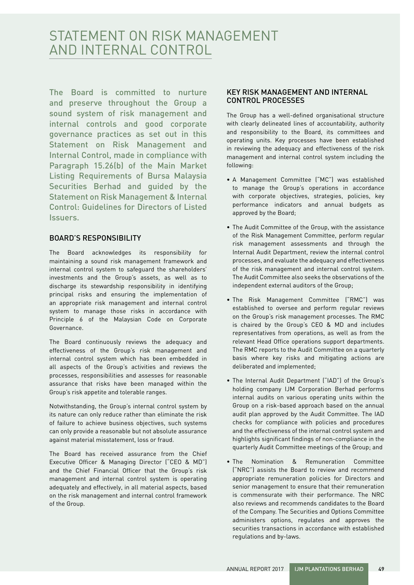# STATEMENT ON RISK MANAGEMENT AND INTERNAL CONTROL

The Board is committed to nurture and preserve throughout the Group a sound system of risk management and internal controls and good corporate governance practices as set out in this Statement on Risk Management and Internal Control, made in compliance with Paragraph 15.26(b) of the Main Market Listing Requirements of Bursa Malaysia Securities Berhad and guided by the Statement on Risk Management & Internal Control: Guidelines for Directors of Listed Issuers.

## BOARD'S RESPONSIBILITY

The Board acknowledges its responsibility for maintaining a sound risk management framework and internal control system to safeguard the shareholders' investments and the Group's assets, as well as to discharge its stewardship responsibility in identifying principal risks and ensuring the implementation of an appropriate risk management and internal control system to manage those risks in accordance with Principle 6 of the Malaysian Code on Corporate Governance.

The Board continuously reviews the adequacy and effectiveness of the Group's risk management and internal control system which has been embedded in all aspects of the Group's activities and reviews the processes, responsibilities and assesses for reasonable assurance that risks have been managed within the Group's risk appetite and tolerable ranges.

Notwithstanding, the Group's internal control system by its nature can only reduce rather than eliminate the risk of failure to achieve business objectives, such systems can only provide a reasonable but not absolute assurance against material misstatement, loss or fraud.

The Board has received assurance from the Chief Executive Officer & Managing Director ("CEO & MD") and the Chief Financial Officer that the Group's risk management and internal control system is operating adequately and effectively, in all material aspects, based on the risk management and internal control framework of the Group.

## KEY RISK MANAGEMENT AND INTERNAL CONTROL PROCESSES

The Group has a well-defined organisational structure with clearly delineated lines of accountability, authority and responsibility to the Board, its committees and operating units. Key processes have been established in reviewing the adequacy and effectiveness of the risk management and internal control system including the following:

- A Management Committee ("MC") was established to manage the Group's operations in accordance with corporate objectives, strategies, policies, key performance indicators and annual budgets as approved by the Board;
- The Audit Committee of the Group, with the assistance of the Risk Management Committee, perform regular risk management assessments and through the Internal Audit Department, review the internal control processes, and evaluate the adequacy and effectiveness of the risk management and internal control system. The Audit Committee also seeks the observations of the independent external auditors of the Group;
- The Risk Management Committee ("RMC") was established to oversee and perform regular reviews on the Group's risk management processes. The RMC is chaired by the Group's CEO & MD and includes representatives from operations, as well as from the relevant Head Office operations support departments. The RMC reports to the Audit Committee on a quarterly basis where key risks and mitigating actions are deliberated and implemented;
- The Internal Audit Department ("IAD") of the Group's holding company IJM Corporation Berhad performs internal audits on various operating units within the Group on a risk-based approach based on the annual audit plan approved by the Audit Committee. The IAD checks for compliance with policies and procedures and the effectiveness of the internal control system and highlights significant findings of non-compliance in the quarterly Audit Committee meetings of the Group; and
- The Nomination & Remuneration Committee ("NRC") assists the Board to review and recommend appropriate remuneration policies for Directors and senior management to ensure that their remuneration is commensurate with their performance. The NRC also reviews and recommends candidates to the Board of the Company. The Securities and Options Committee administers options, regulates and approves the securities transactions in accordance with established regulations and by-laws.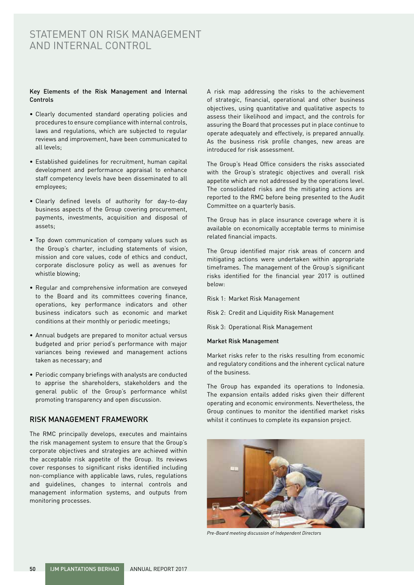## STATEMENT ON RISK MANAGEMENT AND INTERNAL CONTROL

#### Key Elements of the Risk Management and Internal Controls

- Clearly documented standard operating policies and procedures to ensure compliance with internal controls, laws and regulations, which are subjected to regular reviews and improvement, have been communicated to all levels;
- Established guidelines for recruitment, human capital development and performance appraisal to enhance staff competency levels have been disseminated to all employees;
- Clearly defined levels of authority for day-to-day business aspects of the Group covering procurement, payments, investments, acquisition and disposal of assets;
- Top down communication of company values such as the Group's charter, including statements of vision, mission and core values, code of ethics and conduct, corporate disclosure policy as well as avenues for whistle blowing;
- Regular and comprehensive information are conveyed to the Board and its committees covering finance, operations, key performance indicators and other business indicators such as economic and market conditions at their monthly or periodic meetings;
- Annual budgets are prepared to monitor actual versus budgeted and prior period's performance with major variances being reviewed and management actions taken as necessary; and
- Periodic company briefings with analysts are conducted to apprise the shareholders, stakeholders and the general public of the Group's performance whilst promoting transparency and open discussion.

## RISK MANAGEMENT FRAMEWORK

The RMC principally develops, executes and maintains the risk management system to ensure that the Group's corporate objectives and strategies are achieved within the acceptable risk appetite of the Group. Its reviews cover responses to significant risks identified including non-compliance with applicable laws, rules, regulations and guidelines, changes to internal controls and management information systems, and outputs from monitoring processes.

A risk map addressing the risks to the achievement of strategic, financial, operational and other business objectives, using quantitative and qualitative aspects to assess their likelihood and impact, and the controls for assuring the Board that processes put in place continue to operate adequately and effectively, is prepared annually. As the business risk profile changes, new areas are introduced for risk assessment.

The Group's Head Office considers the risks associated with the Group's strategic objectives and overall risk appetite which are not addressed by the operations level. The consolidated risks and the mitigating actions are reported to the RMC before being presented to the Audit Committee on a quarterly basis.

The Group has in place insurance coverage where it is available on economically acceptable terms to minimise related financial impacts.

The Group identified major risk areas of concern and mitigating actions were undertaken within appropriate timeframes. The management of the Group's significant risks identified for the financial year 2017 is outlined below:

- Risk 1: Market Risk Management
- Risk 2: Credit and Liquidity Risk Management
- Risk 3: Operational Risk Management

#### Market Risk Management

Market risks refer to the risks resulting from economic and regulatory conditions and the inherent cyclical nature of the business.

The Group has expanded its operations to Indonesia. The expansion entails added risks given their different operating and economic environments. Nevertheless, the Group continues to monitor the identified market risks whilst it continues to complete its expansion project.



*Pre-Board meeting discussion of Independent Directors*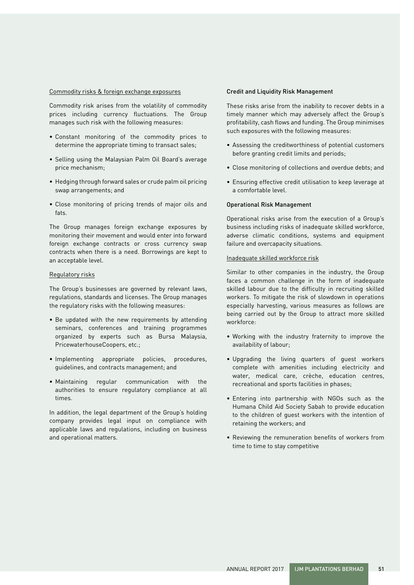#### Commodity risks & foreign exchange exposures

Commodity risk arises from the volatility of commodity prices including currency fluctuations. The Group manages such risk with the following measures:

- Constant monitoring of the commodity prices to determine the appropriate timing to transact sales;
- Selling using the Malaysian Palm Oil Board's average price mechanism;
- Hedging through forward sales or crude palm oil pricing swap arrangements; and
- Close monitoring of pricing trends of major oils and fats.

The Group manages foreign exchange exposures by monitoring their movement and would enter into forward foreign exchange contracts or cross currency swap contracts when there is a need. Borrowings are kept to an acceptable level.

#### Regulatory risks

The Group's businesses are governed by relevant laws, regulations, standards and licenses. The Group manages the regulatory risks with the following measures:

- Be updated with the new requirements by attending seminars, conferences and training programmes organized by experts such as Bursa Malaysia, PricewaterhouseCoopers, etc.;
- Implementing appropriate policies, procedures, guidelines, and contracts management; and
- Maintaining regular communication with the authorities to ensure regulatory compliance at all times.

In addition, the legal department of the Group's holding company provides legal input on compliance with applicable laws and regulations, including on business and operational matters.

#### Credit and Liquidity Risk Management

These risks arise from the inability to recover debts in a timely manner which may adversely affect the Group's profitability, cash flows and funding. The Group minimises such exposures with the following measures:

- Assessing the creditworthiness of potential customers before granting credit limits and periods;
- Close monitoring of collections and overdue debts; and
- Ensuring effective credit utilisation to keep leverage at a comfortable level.

#### Operational Risk Management

Operational risks arise from the execution of a Group's business including risks of inadequate skilled workforce, adverse climatic conditions, systems and equipment failure and overcapacity situations.

#### Inadequate skilled workforce risk

Similar to other companies in the industry, the Group faces a common challenge in the form of inadequate skilled labour due to the difficulty in recruiting skilled workers. To mitigate the risk of slowdown in operations especially harvesting, various measures as follows are being carried out by the Group to attract more skilled workforce:

- Working with the industry fraternity to improve the availability of labour;
- Upgrading the living quarters of guest workers complete with amenities including electricity and water, medical care, crèche, education centres, recreational and sports facilities in phases;
- Entering into partnership with NGOs such as the Humana Child Aid Society Sabah to provide education to the children of guest workers with the intention of retaining the workers; and
- Reviewing the remuneration benefits of workers from time to time to stay competitive